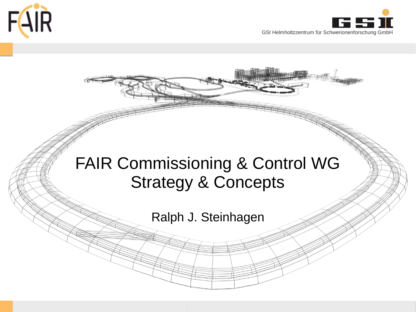



# FAIR Commissioning & Control WG Strategy & Concepts

Ralph J. Steinhagen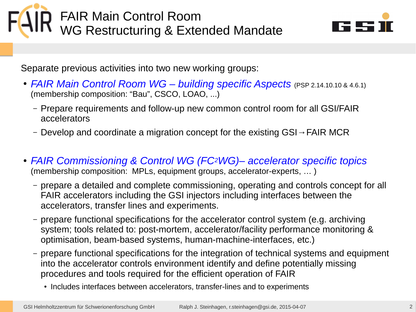FAIR Main Control Room **T** WG Restructuring & Extended Mandate



Separate previous activities into two new working groups:

- **FAIR Main Control Room WG building specific Aspects** (PSP 2.14.10.10 & 4.6.1) (membership composition: "Bau", CSCO, LOAO, ...)
	- Prepare requirements and follow-up new common control room for all GSI/FAIR accelerators
	- Develop and coordinate a migration concept for the existing GSI→FAIR MCR
- *FAIR Commissioning & Control WG (FC2WG)– accelerator specific topics*  (membership composition: MPLs, equipment groups, accelerator-experts, … )
	- prepare a detailed and complete commissioning, operating and controls concept for all FAIR accelerators including the GSI injectors including interfaces between the accelerators, transfer lines and experiments.
	- prepare functional specifications for the accelerator control system (e.g. archiving system; tools related to: post-mortem, accelerator/facility performance monitoring & optimisation, beam-based systems, human-machine-interfaces, etc.)
	- prepare functional specifications for the integration of technical systems and equipment into the accelerator controls environment identify and define potentially missing procedures and tools required for the efficient operation of FAIR
		- Includes interfaces between accelerators, transfer-lines and to experiments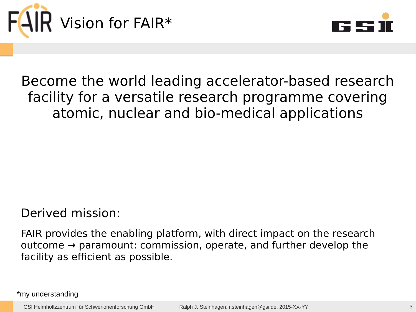



## Become the world leading accelerator-based research facility for a versatile research programme covering atomic, nuclear and bio-medical applications

#### Derived mission:

FAIR provides the enabling platform, with direct impact on the research outcome → paramount: commission, operate, and further develop the facility as efficient as possible.

\*my understanding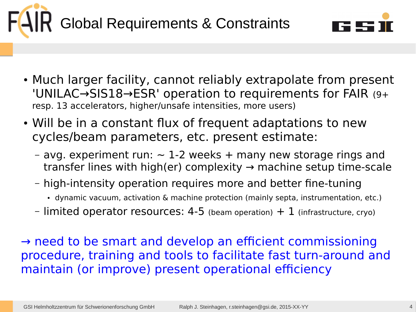



- Much larger facility, cannot reliably extrapolate from present 'UNILAC→SIS18→ESR' operation to requirements for FAIR (9+ resp. 13 accelerators, higher/unsafe intensities, more users)
- Will be in a constant flux of frequent adaptations to new cycles/beam parameters, etc. present estimate:
	- avg. experiment run:  $\sim$  1-2 weeks + many new storage rings and transfer lines with high(er) complexity  $\rightarrow$  machine setup time-scale
	- high-intensity operation requires more and better fine-tuning
		- dynamic vacuum, activation & machine protection (mainly septa, instrumentation, etc.)
	- limited operator resources: 4-5 (beam operation)  $+1$  (infrastructure, cryo)

 $\rightarrow$  need to be smart and develop an efficient commissioning procedure, training and tools to facilitate fast turn-around and maintain (or improve) present operational efficiency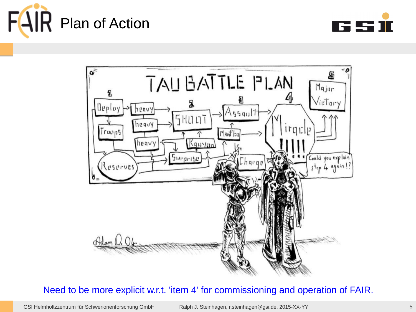





#### Need to be more explicit w.r.t. 'item 4' for commissioning and operation of FAIR.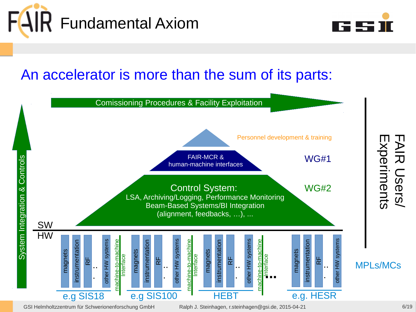



### An accelerator is more than the sum of its parts:



GSI Helmholtzzentrum für Schwerionenforschung GmbH Ralph J. Steinhagen, [r.steinhagen@gsi.de,](mailto:r.steinhagen@gsi.de) 2015-04-21 6/19 6/19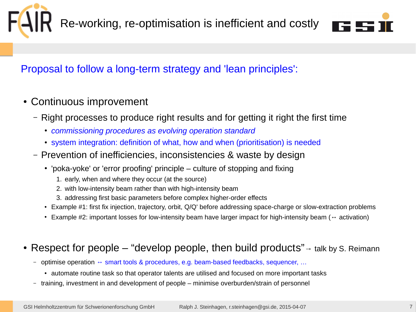



#### Proposal to follow a long-term strategy and 'lean principles':

- Continuous improvement
	- Right processes to produce right results and for getting it right the first time
		- *commissioning procedures as evolving operation standard*
		- system integration: definition of what, how and when (prioritisation) is needed
	- Prevention of inefficiencies, inconsistencies & waste by design
		- $\cdot$  'poka-yoke' or 'error proofing' principle culture of stopping and fixing
			- 1. early, when and where they occur (at the source)
			- 2. with low-intensity beam rather than with high-intensity beam
			- 3. addressing first basic parameters before complex higher-order effects
		- Example #1: first fix injection, trajectory, orbit, Q/Q' before addressing space-charge or slow-extraction problems
		- Example #2: important losses for low-intensity beam have larger impact for high-intensity beam (↔ activation)

#### • Respect for people – "develop people, then build products" $\rightarrow$  talk by S. Reimann

- optimise operation ↔ smart tools & procedures, e.g. beam-based feedbacks, sequencer, …
	- automate routine task so that operator talents are utilised and focused on more important tasks
- training, investment in and development of people minimise overburden/strain of personnel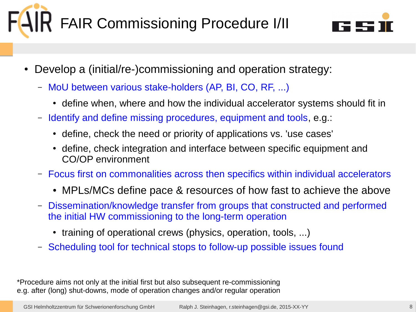# FAIR Commissioning Procedure I/II



- Develop a (initial/re-)commissioning and operation strategy:
	- MoU between various stake-holders (AP, BI, CO, RF, ...)
		- define when, where and how the individual accelerator systems should fit in
	- Identify and define missing procedures, equipment and tools, e.g.:
		- define, check the need or priority of applications vs. 'use cases'
		- define, check integration and interface between specific equipment and CO/OP environment
	- Focus first on commonalities across then specifics within individual accelerators
		- MPLs/MCs define pace & resources of how fast to achieve the above
	- Dissemination/knowledge transfer from groups that constructed and performed the initial HW commissioning to the long-term operation
		- training of operational crews (physics, operation, tools, ...)
	- Scheduling tool for technical stops to follow-up possible issues found

\*Procedure aims not only at the initial first but also subsequent re-commissioning e.g. after (long) shut-downs, mode of operation changes and/or regular operation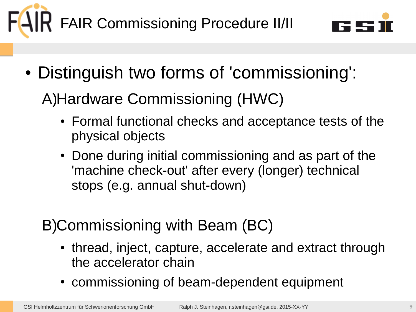



• Distinguish two forms of 'commissioning':

A)Hardware Commissioning (HWC)

- Formal functional checks and acceptance tests of the physical objects
- Done during initial commissioning and as part of the 'machine check-out' after every (longer) technical stops (e.g. annual shut-down)

B)Commissioning with Beam (BC)

- thread, inject, capture, accelerate and extract through the accelerator chain
- commissioning of beam-dependent equipment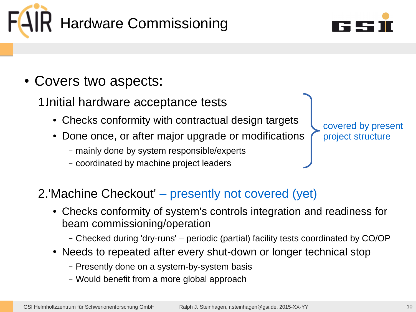



- Covers two aspects:
	- 1.Initial hardware acceptance tests
		- Checks conformity with contractual design targets
		- Done once, or after major upgrade or modifications
			- mainly done by system responsible/experts
			- coordinated by machine project leaders

covered by present project structure

- 2.'Machine Checkout' presently not covered (yet)
	- Checks conformity of system's controls integration and readiness for beam commissioning/operation
		- Checked during 'dry-runs' periodic (partial) facility tests coordinated by CO/OP
	- Needs to repeated after every shut-down or longer technical stop
		- Presently done on a system-by-system basis
		- Would benefit from a more global approach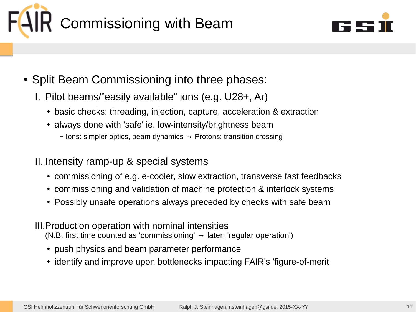



- Split Beam Commissioning into three phases:
	- I. Pilot beams/"easily available" ions (e.g. U28+, Ar)
		- basic checks: threading, injection, capture, acceleration & extraction
		- always done with 'safe' ie. low-intensity/brightness beam
			- Ions: simpler optics, beam dynamics  $\rightarrow$  Protons: transition crossing
	- II. Intensity ramp-up & special systems
		- commissioning of e.g. e-cooler, slow extraction, transverse fast feedbacks
		- commissioning and validation of machine protection & interlock systems
		- Possibly unsafe operations always preceded by checks with safe beam
	- III.Production operation with nominal intensities (N.B. first time counted as 'commissioning'  $\rightarrow$  later: 'regular operation')
		- push physics and beam parameter performance
		- identify and improve upon bottlenecks impacting FAIR's 'figure-of-merit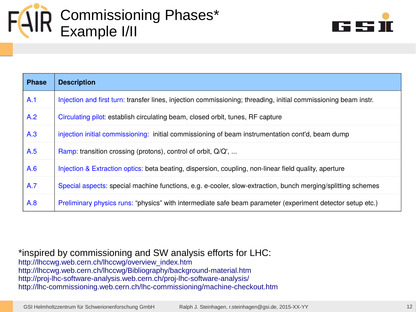



| <b>Phase</b> | <b>Description</b>                                                                                              |
|--------------|-----------------------------------------------------------------------------------------------------------------|
| A.1          | Injection and first turn: transfer lines, injection commissioning; threading, initial commissioning beam instr. |
| A.2          | Circulating pilot: establish circulating beam, closed orbit, tunes, RF capture                                  |
| A.3          | injection initial commissioning: initial commissioning of beam instrumentation cont'd, beam dump                |
| A.5          | Ramp: transition crossing (protons), control of orbit, Q/Q',                                                    |
| A.6          | Injection & Extraction optics: beta beating, dispersion, coupling, non-linear field quality, aperture           |
| A.7          | Special aspects: special machine functions, e.g. e-cooler, slow-extraction, bunch merging/splitting schemes     |
| A.8          | Preliminary physics runs: "physics" with intermediate safe beam parameter (experiment detector setup etc.)      |

\*inspired by commissioning and SW analysis efforts for LHC: [http://lhccwg.web.cern.ch/lhccwg/overview\\_index.htm](http://lhccwg.web.cern.ch/lhccwg/overview_index.htm) <http://lhccwg.web.cern.ch/lhccwg/Bibliography/background-material.htm> <http://proj-lhc-software-analysis.web.cern.ch/proj-lhc-software-analysis/> <http://lhc-commissioning.web.cern.ch/lhc-commissioning/machine-checkout.htm>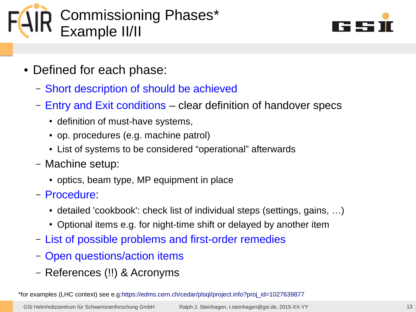



- Defined for each phase:
	- Short description of should be achieved
	- Entry and Exit conditions clear definition of handover specs
		- definition of must-have systems,
		- op. procedures (e.g. machine patrol)
		- List of systems to be considered "operational" afterwards
	- Machine setup:
		- optics, beam type, MP equipment in place
	- Procedure:
		- detailed 'cookbook': check list of individual steps (settings, gains, ...)
		- Optional items e.g. for night-time shift or delayed by another item
	- List of possible problems and first-order remedies
	- Open questions/action items
	- References (!!) & Acronyms

\*for examples (LHC context) see e.g:[https://edms.cern.ch/cedar/plsql/project.info?proj\\_id=1027639877](https://edms.cern.ch/cedar/plsql/project.info?proj_id=1027639877)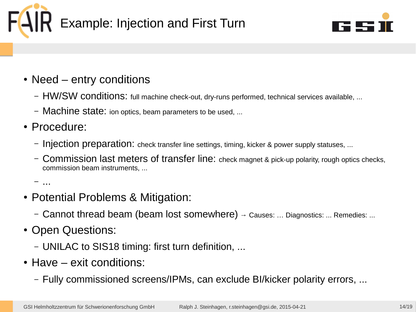



- Need entry conditions
	- HW/SW conditions: full machine check-out, dry-runs performed, technical services available, ...
	- Machine state: ion optics, beam parameters to be used, ...
- Procedure:
	- Injection preparation: check transfer line settings, timing, kicker & power supply statuses, ...
	- Commission last meters of transfer line: check magnet & pick-up polarity, rough optics checks, commission beam instruments, ...

– ...

- Potential Problems & Mitigation:
	- Cannot thread beam (beam lost somewhere) → Causes: … Diagnostics: ... Remedies: ...
- Open Questions:
	- UNILAC to SIS18 timing: first turn definition, ...
- $\bullet$  Have exit conditions:
	- Fully commissioned screens/IPMs, can exclude BI/kicker polarity errors, ...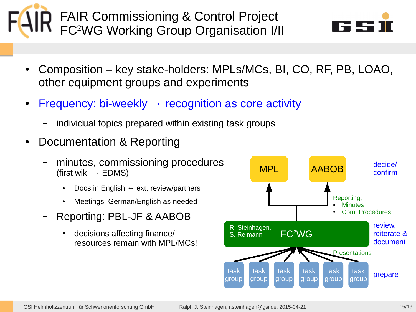• Composition – key stake-holders: MPLs/MCs, BI, CO, RF, PB, LOAO, other equipment groups and experiments

• Frequency: bi-weekly  $\rightarrow$  recognition as core activity

FAIR Commissioning & Control Project

**K** FC<sup>2</sup>WG Working Group Organisation I/II

- individual topics prepared within existing task groups
- Documentation & Reporting
	- minutes, commissioning procedures (first wiki  $\rightarrow$  EDMS)
		- Docs in English  $\leftrightarrow$  ext. review/partners
		- Meetings: German/English as needed
	- Reporting: PBL-JF & AABOB
		- decisions affecting finance/ resources remain with MPL/MCs!



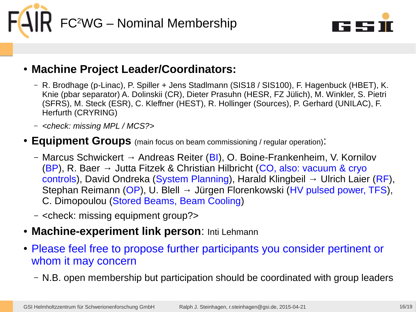



#### ● **Machine Project Leader/Coordinators:**

- R. Brodhage (p-Linac), P. Spiller + Jens Stadlmann (SIS18 / SIS100), F. Hagenbuck (HBET), K. Knie (pbar separator) A. Dolinskii (CR), Dieter Prasuhn (HESR, FZ Jülich), M. Winkler, S. Pietri (SFRS), M. Steck (ESR), C. Kleffner (HEST), R. Hollinger (Sources), P. Gerhard (UNILAC), F. Herfurth (CRYRING)
- *<check: missing MPL / MCS?>*

#### ● **Equipment Groups** (main focus on beam commissioning / regular operation):

- Marcus Schwickert → Andreas Reiter (BI), O. Boine-Frankenheim, V. Kornilov (BP), R. Baer  $\rightarrow$  Jutta Fitzek & Christian Hilbricht (CO, also: vacuum & cryo controls), David Ondreka (System Planning), Harald Klingbeil → Ulrich Laier (RF), Stephan Reimann (OP), U. Blell → Jürgen Florenkowski (HV pulsed power, TFS), C. Dimopoulou (Stored Beams, Beam Cooling)
- <check: missing equipment group?>
- **Machine-experiment link person**: Inti Lehmann
- Please feel free to propose further participants you consider pertinent or whom it may concern
	- N.B. open membership but participation should be coordinated with group leaders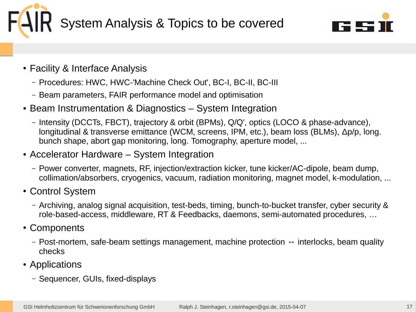



- Facility & Interface Analysis
	- Procedures: HWC, HWC-'Machine Check Out', BC-I, BC-II, BC-III
	- Beam parameters, FAIR performance model and optimisation
- Beam Instrumentation & Diagnostics System Integration
	- Intensity (DCCTs, FBCT), trajectory & orbit (BPMs), Q/Q', optics (LOCO & phase-advance), longitudinal & transverse emittance (WCM, screens, IPM, etc.), beam loss (BLMs), Δp/p, long. bunch shape, abort gap monitoring, long. Tomography, aperture model, ...
- Accelerator Hardware System Integration
	- Power converter, magnets, RF, injection/extraction kicker, tune kicker/AC-dipole, beam dump, collimation/absorbers, cryogenics, vacuum, radiation monitoring, magnet model, k-modulation, ...
- Control System
	- Archiving, analog signal acquisition, test-beds, timing, bunch-to-bucket transfer, cyber security & role-based-access, middleware, RT & Feedbacks, daemons, semi-automated procedures, …
- Components
	- Post-mortem, safe-beam settings management, machine protection  $\leftrightarrow$  interlocks, beam quality checks
- Applications
	- Sequencer, GUIs, fixed-displays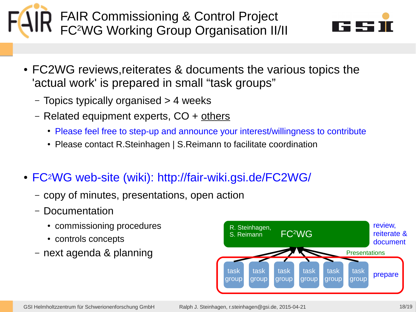

- FC2WG reviews, reiterates & documents the various topics the 'actual work' is prepared in small "task groups"
	- Topics typically organised > 4 weeks
	- Related equipment experts, CO + others
		- Please feel free to step-up and announce your interest/willingness to contribute
		- Please contact R.Steinhagen | S.Reimann to facilitate coordination
- FC<sup>2</sup>WG web-site (wiki): <http://fair-wiki.gsi.de/FC2WG/>
	- copy of minutes, presentations, open action
	- Documentation
		- commissioning procedures
		- controls concepts
	- next agenda & planning

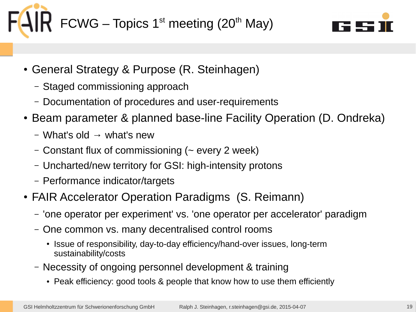



- General Strategy & Purpose (R. Steinhagen)
	- Staged commissioning approach
	- Documentation of procedures and user-requirements
- Beam parameter & planned base-line Facility Operation (D. Ondreka)
	- What's old  $\rightarrow$  what's new
	- Constant flux of commissioning (~ every 2 week)
	- Uncharted/new territory for GSI: high-intensity protons
	- Performance indicator/targets
- FAIR Accelerator Operation Paradigms (S. Reimann)
	- 'one operator per experiment' vs. 'one operator per accelerator' paradigm
	- One common vs. many decentralised control rooms
		- Issue of responsibility, day-to-day efficiency/hand-over issues, long-term sustainability/costs
	- Necessity of ongoing personnel development & training
		- Peak efficiency: good tools & people that know how to use them efficiently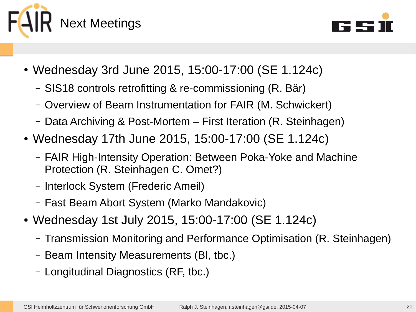



- Wednesday 3rd June 2015, 15:00-17:00 (SE 1.124c)
	- SIS18 controls retrofitting & re-commissioning (R. Bär)
	- Overview of Beam Instrumentation for FAIR (M. Schwickert)
	- Data Archiving & Post-Mortem First Iteration (R. Steinhagen)
- Wednesday 17th June 2015, 15:00-17:00 (SE 1.124c)
	- FAIR High-Intensity Operation: Between Poka-Yoke and Machine Protection (R. Steinhagen C. Omet?)
	- Interlock System (Frederic Ameil)
	- Fast Beam Abort System (Marko Mandakovic)
- Wednesday 1st July 2015, 15:00-17:00 (SE 1.124c)
	- Transmission Monitoring and Performance Optimisation (R. Steinhagen)
	- Beam Intensity Measurements (BI, tbc.)
	- Longitudinal Diagnostics (RF, tbc.)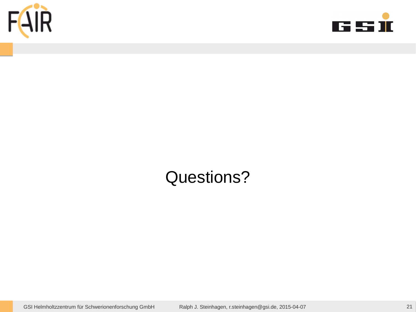



## Questions?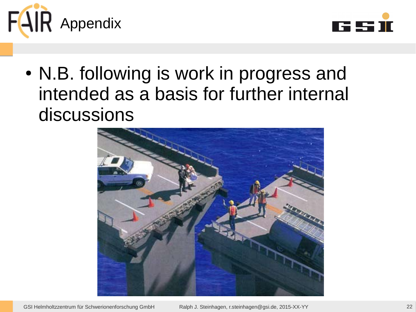



• N.B. following is work in progress and intended as a basis for further internal discussions

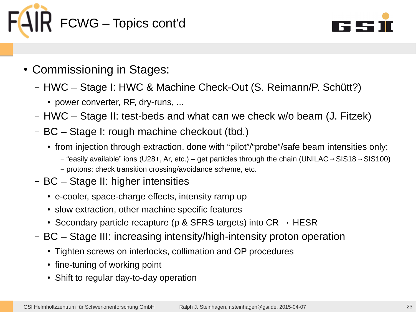



- Commissioning in Stages:
	- HWC Stage I: HWC & Machine Check-Out (S. Reimann/P. Schütt?)
		- power converter, RF, dry-runs, ...
	- HWC Stage II: test-beds and what can we check w/o beam (J. Fitzek)
	- BC Stage I: rough machine checkout (tbd.)
		- from injection through extraction, done with "pilot"/"probe"/safe beam intensities only:
			- "easily available" ions (U28+, Ar, etc.) get particles through the chain (UNILAC→SIS18→SIS100)
			- protons: check transition crossing/avoidance scheme, etc.
	- BC Stage II: higher intensities
		- e-cooler, space-charge effects, intensity ramp up
		- slow extraction, other machine specific features
		- Secondary particle recapture ( $\overline{p}$  & SFRS targets) into CR  $\rightarrow$  HESR
	- BC Stage III: increasing intensity/high-intensity proton operation
		- Tighten screws on interlocks, collimation and OP procedures
		- fine-tuning of working point
		- Shift to regular day-to-day operation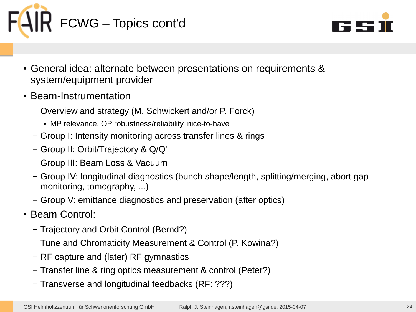



- General idea: alternate between presentations on requirements & system/equipment provider
- Beam-Instrumentation
	- Overview and strategy (M. Schwickert and/or P. Forck)
		- MP relevance, OP robustness/reliability, nice-to-have
	- Group I: Intensity monitoring across transfer lines & rings
	- Group II: Orbit/Trajectory & Q/Q'
	- Group III: Beam Loss & Vacuum
	- Group IV: longitudinal diagnostics (bunch shape/length, splitting/merging, abort gap monitoring, tomography, ...)
	- Group V: emittance diagnostics and preservation (after optics)
- Beam Control:
	- Trajectory and Orbit Control (Bernd?)
	- Tune and Chromaticity Measurement & Control (P. Kowina?)
	- RF capture and (later) RF gymnastics
	- Transfer line & ring optics measurement & control (Peter?)
	- Transverse and longitudinal feedbacks (RF: ???)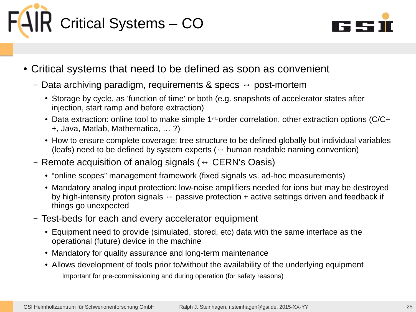



- Critical systems that need to be defined as soon as convenient
	- Data archiving paradigm, requirements & specs  $\leftrightarrow$  post-mortem
		- Storage by cycle, as 'function of time' or both (e.g. snapshots of accelerator states after injection, start ramp and before extraction)
		- Data extraction: online tool to make simple  $1<sup>st</sup>$ -order correlation, other extraction options (C/C+ +, Java, Matlab, Mathematica, … ?)
		- How to ensure complete coverage: tree structure to be defined globally but individual variables (leafs) need to be defined by system experts ( $\leftrightarrow$  human readable naming convention)
	- Remote acquisition of analog signals ( $\leftrightarrow$  CERN's Oasis)
		- "online scopes" management framework (fixed signals vs. ad-hoc measurements)
		- Mandatory analog input protection: low-noise amplifiers needed for ions but may be destroyed by high-intensity proton signals  $\leftrightarrow$  passive protection + active settings driven and feedback if things go unexpected
	- Test-beds for each and every accelerator equipment
		- Equipment need to provide (simulated, stored, etc) data with the same interface as the operational (future) device in the machine
		- Mandatory for quality assurance and long-term maintenance
		- Allows development of tools prior to/without the availability of the underlying equipment
			- Important for pre-commissioning and during operation (for safety reasons)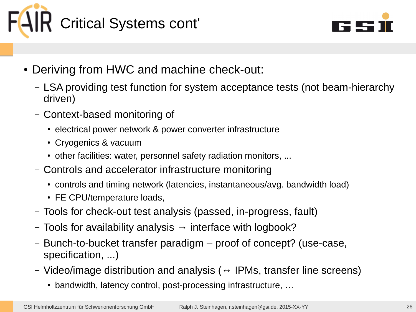



- Deriving from HWC and machine check-out:
	- LSA providing test function for system acceptance tests (not beam-hierarchy driven)
	- Context-based monitoring of
		- electrical power network & power converter infrastructure
		- Cryogenics & vacuum
		- other facilities: water, personnel safety radiation monitors, ...
	- Controls and accelerator infrastructure monitoring
		- controls and timing network (latencies, instantaneous/avg. bandwidth load)
		- FE CPU/temperature loads,
	- Tools for check-out test analysis (passed, in-progress, fault)
	- Tools for availability analysis  $\rightarrow$  interface with logbook?
	- Bunch-to-bucket transfer paradigm proof of concept? (use-case, specification, ...)
	- Video/image distribution and analysis ( $\leftrightarrow$  IPMs, transfer line screens)
		- bandwidth, latency control, post-processing infrastructure, ...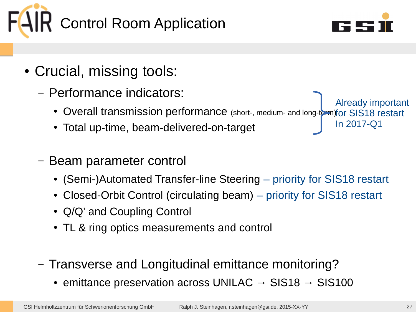



In 2017-Q1

- Crucial, missing tools:
	- Performance indicators:
		- Overall transmission performance (short-, medium- and long-term) for SIS18 restart Already important
		- Total up-time, beam-delivered-on-target
	- Beam parameter control
		- (Semi-)Automated Transfer-line Steering priority for SIS18 restart
		- Closed-Orbit Control (circulating beam) priority for SIS18 restart
		- Q/Q' and Coupling Control
		- TL & ring optics measurements and control
	- Transverse and Longitudinal emittance monitoring?
		- emittance preservation across UNILAC  $\rightarrow$  SIS18  $\rightarrow$  SIS100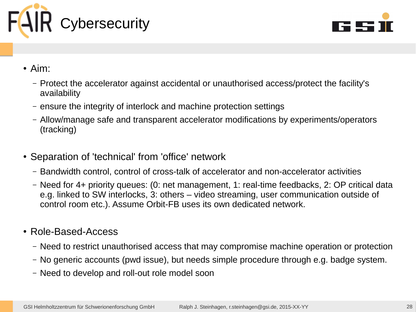



- Aim:
	- Protect the accelerator against accidental or unauthorised access/protect the facility's availability
	- ensure the integrity of interlock and machine protection settings
	- Allow/manage safe and transparent accelerator modifications by experiments/operators (tracking)
- Separation of 'technical' from 'office' network
	- Bandwidth control, control of cross-talk of accelerator and non-accelerator activities
	- Need for 4+ priority queues: (0: net management, 1: real-time feedbacks, 2: OP critical data e.g. linked to SW interlocks, 3: others – video streaming, user communication outside of control room etc.). Assume Orbit-FB uses its own dedicated network.
- Role-Based-Access
	- Need to restrict unauthorised access that may compromise machine operation or protection
	- No generic accounts (pwd issue), but needs simple procedure through e.g. badge system.
	- Need to develop and roll-out role model soon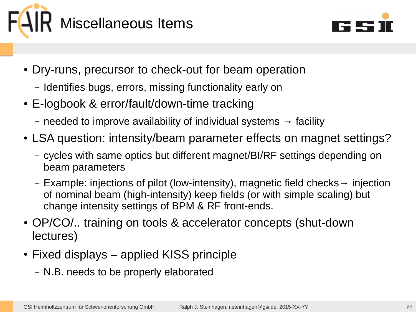



- Dry-runs, precursor to check-out for beam operation
	- Identifies bugs, errors, missing functionality early on
- E-logbook & error/fault/down-time tracking
	- needed to improve availability of individual systems  $\rightarrow$  facility
- LSA question: intensity/beam parameter effects on magnet settings?
	- cycles with same optics but different magnet/BI/RF settings depending on beam parameters
	- Example: injections of pilot (low-intensity), magnetic field checks→ injection of nominal beam (high-intensity) keep fields (or with simple scaling) but change intensity settings of BPM & RF front-ends.
- OP/CO/.. training on tools & accelerator concepts (shut-down lectures)
- $\bullet$  Fixed displays applied KISS principle
	- N.B. needs to be properly elaborated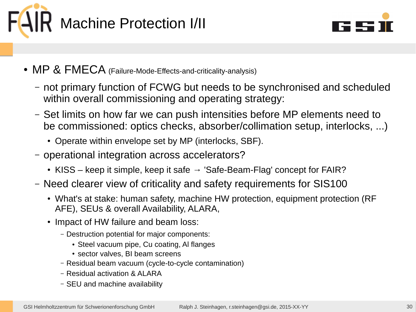



- MP & FMECA (Failure-Mode-Effects-and-criticality-analysis)
	- not primary function of FCWG but needs to be synchronised and scheduled within overall commissioning and operating strategy:
	- Set limits on how far we can push intensities before MP elements need to be commissioned: optics checks, absorber/collimation setup, interlocks, ...)
		- Operate within envelope set by MP (interlocks, SBF).
	- operational integration across accelerators?
		- KISS keep it simple, keep it safe  $\rightarrow$  'Safe-Beam-Flag' concept for FAIR?
	- Need clearer view of criticality and safety requirements for SIS100
		- What's at stake: human safety, machine HW protection, equipment protection (RF AFE), SEUs & overall Availability, ALARA,
		- Impact of HW failure and beam loss:
			- Destruction potential for major components:
				- Steel vacuum pipe, Cu coating, Al flanges
				- sector valves, BI beam screens
			- Residual beam vacuum (cycle-to-cycle contamination)
			- Residual activation & ALARA
			- SEU and machine availability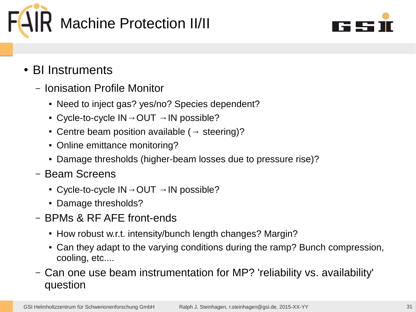



- BI Instruments
	- Ionisation Profile Monitor
		- Need to inject gas? yes/no? Species dependent?
		- Cycle-to-cycle  $IN \rightarrow OUT \rightarrow IN$  possible?
		- Centre beam position available ( $\rightarrow$  steering)?
		- Online emittance monitoring?
		- Damage thresholds (higher-beam losses due to pressure rise)?
	- Beam Screens
		- Cycle-to-cycle  $IN \rightarrow OUT \rightarrow IN$  possible?
		- Damage thresholds?
	- BPMs & RF AFE front-ends
		- How robust w.r.t. intensity/bunch length changes? Margin?
		- Can they adapt to the varying conditions during the ramp? Bunch compression, cooling, etc....
	- Can one use beam instrumentation for MP? 'reliability vs. availability' question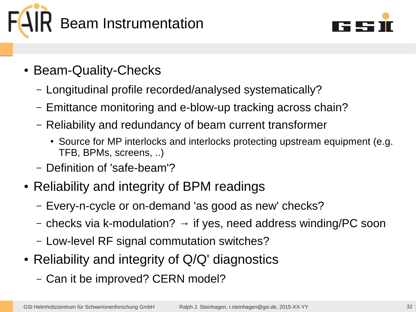



- Beam-Quality-Checks
	- Longitudinal profile recorded/analysed systematically?
	- Emittance monitoring and e-blow-up tracking across chain?
	- Reliability and redundancy of beam current transformer
		- Source for MP interlocks and interlocks protecting upstream equipment (e.g. TFB, BPMs, screens, ..)
	- Definition of 'safe-beam'?
- Reliability and integrity of BPM readings
	- Every-n-cycle or on-demand 'as good as new' checks?
	- checks via k-modulation?  $\rightarrow$  if yes, need address winding/PC soon
	- Low-level RF signal commutation switches?
- Reliability and integrity of  $Q/Q'$  diagnostics
	- Can it be improved? CERN model?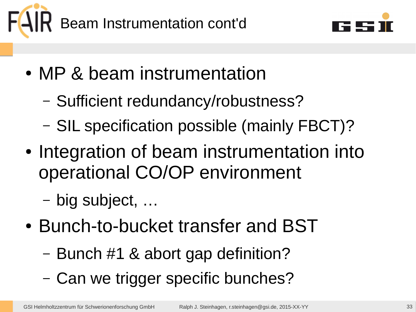



- MP & beam instrumentation
	- Sufficient redundancy/robustness?
	- SIL specification possible (mainly FBCT)?
- Integration of beam instrumentation into operational CO/OP environment
	- big subject, …
- Bunch-to-bucket transfer and BST
	- Bunch #1 & abort gap definition?
	- Can we trigger specific bunches?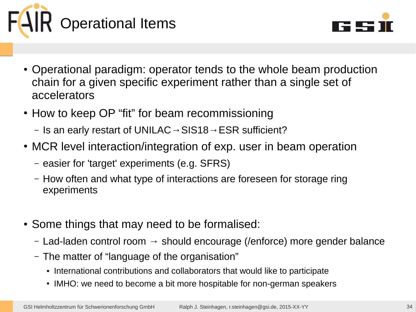



- Operational paradigm: operator tends to the whole beam production chain for a given specific experiment rather than a single set of accelerators
- How to keep OP "fit" for beam recommissioning
	- Is an early restart of UNILAC  $\rightarrow$  SIS18  $\rightarrow$  ESR sufficient?
- MCR level interaction/integration of exp. user in beam operation
	- easier for 'target' experiments (e.g. SFRS)
	- How often and what type of interactions are foreseen for storage ring experiments
- Some things that may need to be formalised:
	- $-$  Lad-laden control room  $\rightarrow$  should encourage (/enforce) more gender balance
	- The matter of "language of the organisation"
		- International contributions and collaborators that would like to participate
		- IMHO: we need to become a bit more hospitable for non-german speakers